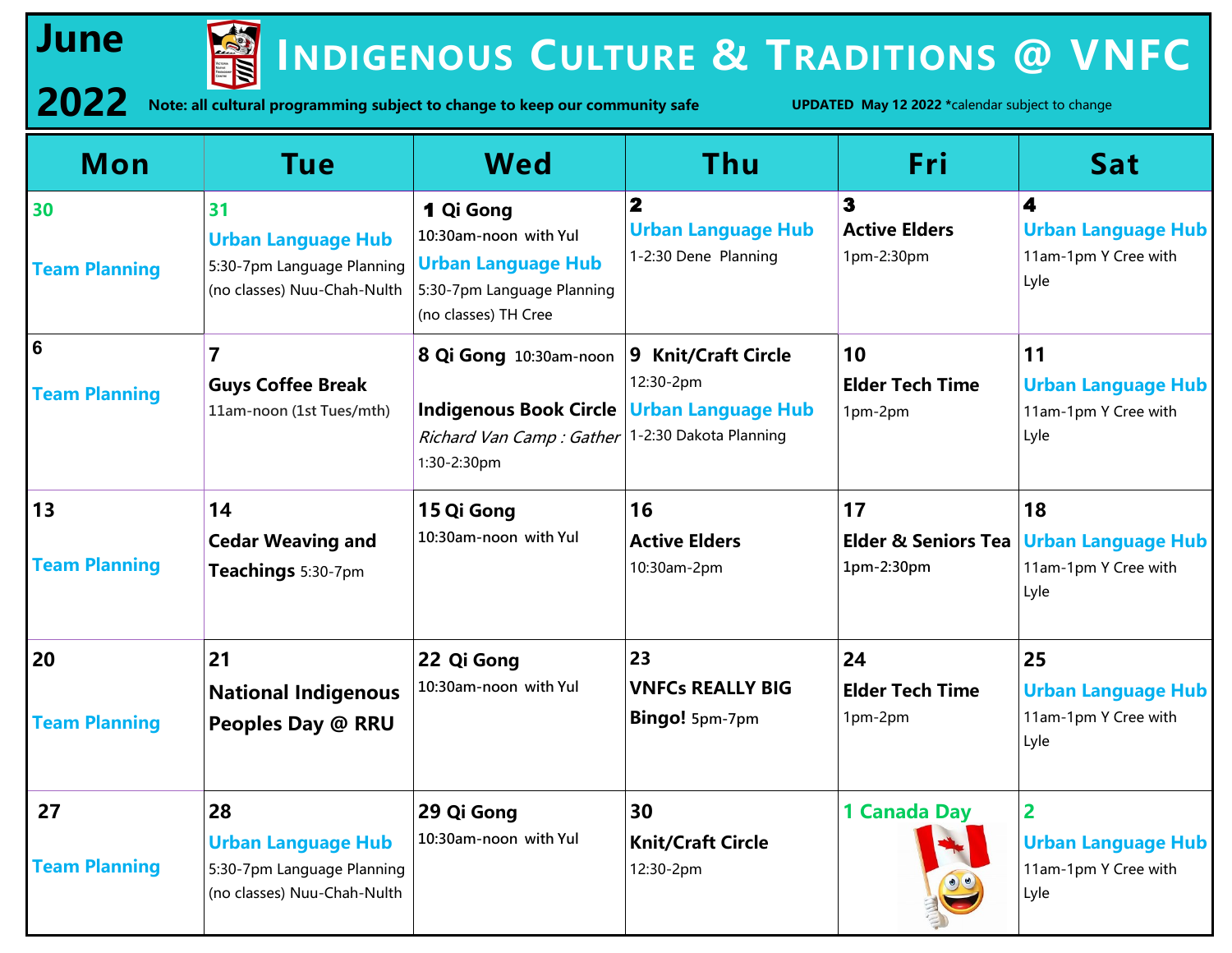

# **INDIGENOUS CULTURE & TRADITIONS** @ VNFC

2022 Note: all cultural programming subject to change to keep our community safe *UPDATED May 12 2022 \*calendar subject to change* 

| Mon                                     | <b>Tue</b>                                                                                   | <b>Wed</b>                                                                                                                                                     | Thu                                                                          | Fri                                                | <b>Sat</b>                                                      |
|-----------------------------------------|----------------------------------------------------------------------------------------------|----------------------------------------------------------------------------------------------------------------------------------------------------------------|------------------------------------------------------------------------------|----------------------------------------------------|-----------------------------------------------------------------|
| 30<br><b>Team Planning</b>              | 31<br><b>Urban Language Hub</b><br>5:30-7pm Language Planning<br>(no classes) Nuu-Chah-Nulth | 1 Qi Gong<br>10:30am-noon with Yul<br><b>Urban Language Hub</b><br>5:30-7pm Language Planning<br>(no classes) TH Cree                                          | $\overline{\mathbf{2}}$<br><b>Urban Language Hub</b><br>1-2:30 Dene Planning | $\mathbf{3}$<br><b>Active Elders</b><br>1pm-2:30pm | 4<br><b>Urban Language Hub</b><br>11am-1pm Y Cree with<br>Lyle  |
| $6\phantom{1}6$<br><b>Team Planning</b> | $\overline{\mathbf{z}}$<br><b>Guys Coffee Break</b><br>11am-noon (1st Tues/mth)              | 8 Qi Gong 10:30am-noon   9 Knit/Craft Circle<br>Indigenous Book Circle   Urban Language Hub<br>Richard Van Camp : Gather 1-2:30 Dakota Planning<br>1:30-2:30pm | 12:30-2pm                                                                    | 10<br><b>Elder Tech Time</b><br>1pm-2pm            | 11<br><b>Urban Language Hub</b><br>11am-1pm Y Cree with<br>Lyle |
| 13<br><b>Team Planning</b>              | 14<br><b>Cedar Weaving and</b><br>Teachings 5:30-7pm                                         | 15 Qi Gong<br>10:30am-noon with Yul                                                                                                                            | 16<br><b>Active Elders</b><br>10:30am-2pm                                    | 17<br><b>Elder &amp; Seniors Tea</b><br>1pm-2:30pm | 18<br><b>Urban Language Hub</b><br>11am-1pm Y Cree with<br>Lyle |
| 20<br><b>Team Planning</b>              | 21<br><b>National Indigenous</b><br>Peoples Day @ RRU                                        | 22 Qi Gong<br>10:30am-noon with Yul                                                                                                                            | 23<br><b>VNFCs REALLY BIG</b><br>Bingo! 5pm-7pm                              | 24<br><b>Elder Tech Time</b><br>1pm-2pm            | 25<br><b>Urban Language Hub</b><br>11am-1pm Y Cree with<br>Lyle |
| 27<br><b>Team Planning</b>              | 28<br><b>Urban Language Hub</b><br>5:30-7pm Language Planning<br>(no classes) Nuu-Chah-Nulth | 29 Qi Gong<br>10:30am-noon with Yul                                                                                                                            | 30<br><b>Knit/Craft Circle</b><br>12:30-2pm                                  | 1 Canada Day                                       | 2<br><b>Urban Language Hub</b><br>11am-1pm Y Cree with<br>Lyle  |